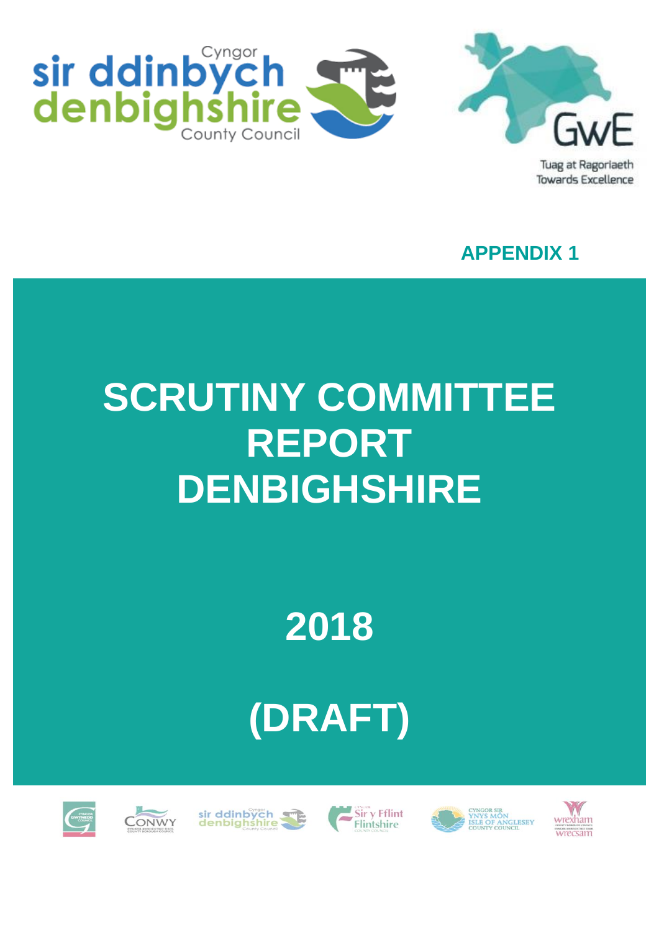



Tuag at Ragoriaeth **Towards Excellence** 

**APPENDIX 1**

# **SCRUTINY COMMITTEE REPORT DENBIGHSHIRE**

**2018**

# **(DRAFT)**











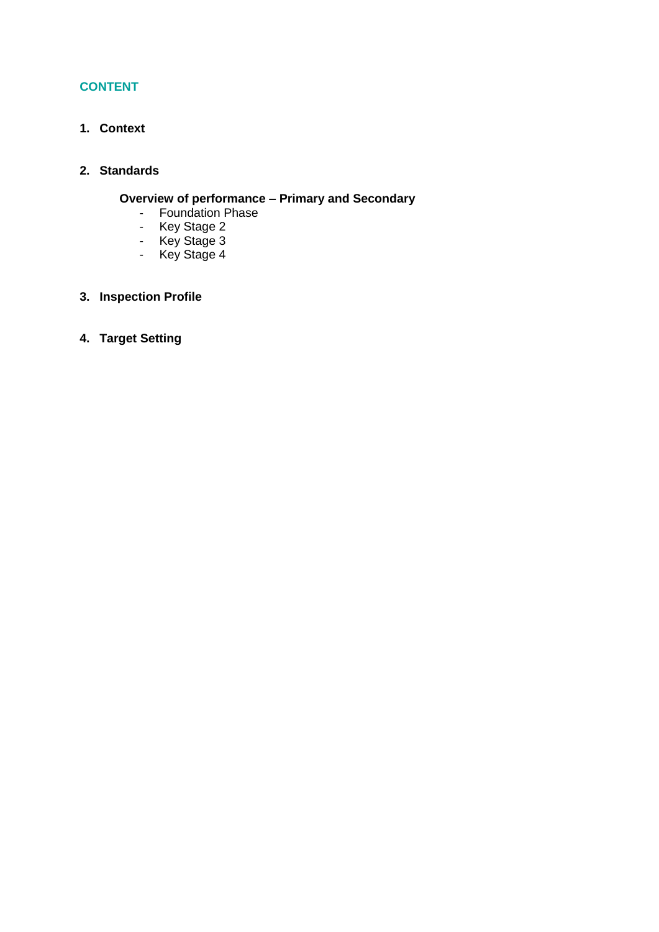# **CONTENT**

**1. Context**

## **2. Standards**

# **Overview of performance – Primary and Secondary**

- Foundation Phase
- Key Stage 2
- Key Stage 3
- Key Stage 4
- **3. Inspection Profile**
- **4. Target Setting**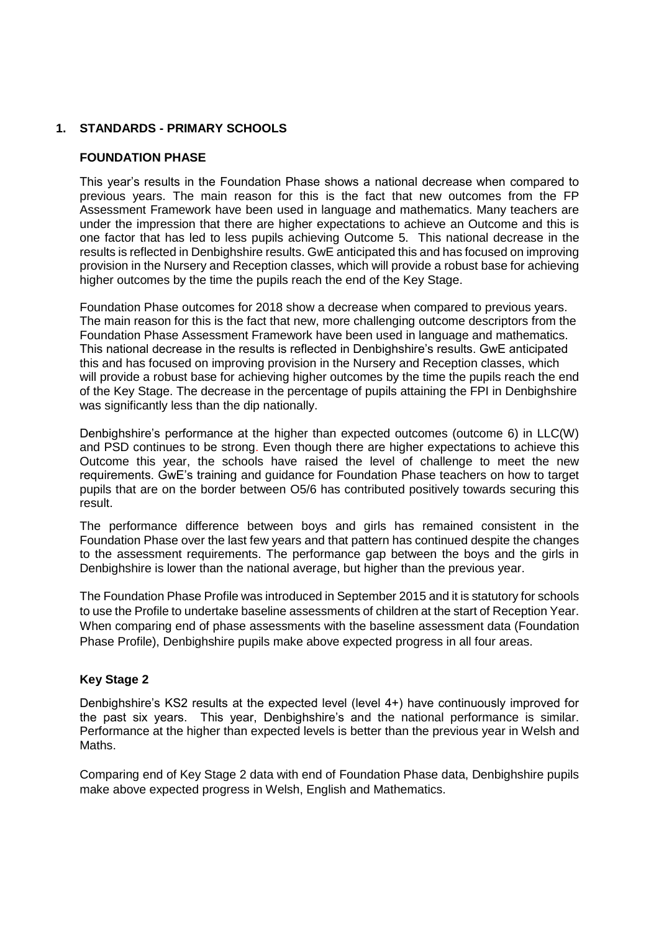### **1. STANDARDS - PRIMARY SCHOOLS**

### **FOUNDATION PHASE**

This year's results in the Foundation Phase shows a national decrease when compared to previous years. The main reason for this is the fact that new outcomes from the FP Assessment Framework have been used in language and mathematics. Many teachers are under the impression that there are higher expectations to achieve an Outcome and this is one factor that has led to less pupils achieving Outcome 5. This national decrease in the results is reflected in Denbighshire results. GwE anticipated this and has focused on improving provision in the Nursery and Reception classes, which will provide a robust base for achieving higher outcomes by the time the pupils reach the end of the Key Stage.

Foundation Phase outcomes for 2018 show a decrease when compared to previous years. The main reason for this is the fact that new, more challenging outcome descriptors from the Foundation Phase Assessment Framework have been used in language and mathematics. This national decrease in the results is reflected in Denbighshire's results. GwE anticipated this and has focused on improving provision in the Nursery and Reception classes, which will provide a robust base for achieving higher outcomes by the time the pupils reach the end of the Key Stage. The decrease in the percentage of pupils attaining the FPI in Denbighshire was significantly less than the dip nationally.

Denbighshire's performance at the higher than expected outcomes (outcome 6) in LLC(W) and PSD continues to be strong. Even though there are higher expectations to achieve this Outcome this year, the schools have raised the level of challenge to meet the new requirements. GwE's training and guidance for Foundation Phase teachers on how to target pupils that are on the border between O5/6 has contributed positively towards securing this result.

The performance difference between boys and girls has remained consistent in the Foundation Phase over the last few years and that pattern has continued despite the changes to the assessment requirements. The performance gap between the boys and the girls in Denbighshire is lower than the national average, but higher than the previous year.

The Foundation Phase Profile was introduced in September 2015 and it is statutory for schools to use the Profile to undertake baseline assessments of children at the start of Reception Year. When comparing end of phase assessments with the baseline assessment data (Foundation Phase Profile), Denbighshire pupils make above expected progress in all four areas.

#### **Key Stage 2**

Denbighshire's KS2 results at the expected level (level 4+) have continuously improved for the past six years. This year, Denbighshire's and the national performance is similar. Performance at the higher than expected levels is better than the previous year in Welsh and Maths.

Comparing end of Key Stage 2 data with end of Foundation Phase data, Denbighshire pupils make above expected progress in Welsh, English and Mathematics.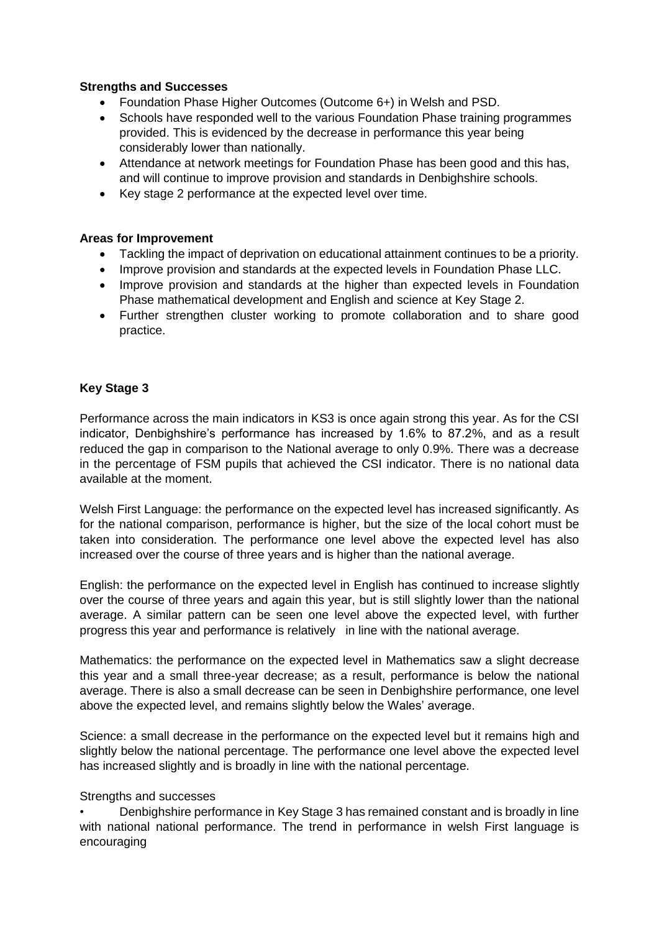### **Strengths and Successes**

- Foundation Phase Higher Outcomes (Outcome 6+) in Welsh and PSD.
- Schools have responded well to the various Foundation Phase training programmes provided. This is evidenced by the decrease in performance this year being considerably lower than nationally.
- Attendance at network meetings for Foundation Phase has been good and this has, and will continue to improve provision and standards in Denbighshire schools.
- Key stage 2 performance at the expected level over time.

### **Areas for Improvement**

- Tackling the impact of deprivation on educational attainment continues to be a priority.
- Improve provision and standards at the expected levels in Foundation Phase LLC.
- Improve provision and standards at the higher than expected levels in Foundation Phase mathematical development and English and science at Key Stage 2.
- Further strengthen cluster working to promote collaboration and to share good practice.

## **Key Stage 3**

Performance across the main indicators in KS3 is once again strong this year. As for the CSI indicator, Denbighshire's performance has increased by 1.6% to 87.2%, and as a result reduced the gap in comparison to the National average to only 0.9%. There was a decrease in the percentage of FSM pupils that achieved the CSI indicator. There is no national data available at the moment.

Welsh First Language: the performance on the expected level has increased significantly. As for the national comparison, performance is higher, but the size of the local cohort must be taken into consideration. The performance one level above the expected level has also increased over the course of three years and is higher than the national average.

English: the performance on the expected level in English has continued to increase slightly over the course of three years and again this year, but is still slightly lower than the national average. A similar pattern can be seen one level above the expected level, with further progress this year and performance is relatively in line with the national average.

Mathematics: the performance on the expected level in Mathematics saw a slight decrease this year and a small three-year decrease; as a result, performance is below the national average. There is also a small decrease can be seen in Denbighshire performance, one level above the expected level, and remains slightly below the Wales' average.

Science: a small decrease in the performance on the expected level but it remains high and slightly below the national percentage. The performance one level above the expected level has increased slightly and is broadly in line with the national percentage.

#### Strengths and successes

• Denbighshire performance in Key Stage 3 has remained constant and is broadly in line with national national performance. The trend in performance in welsh First language is encouraging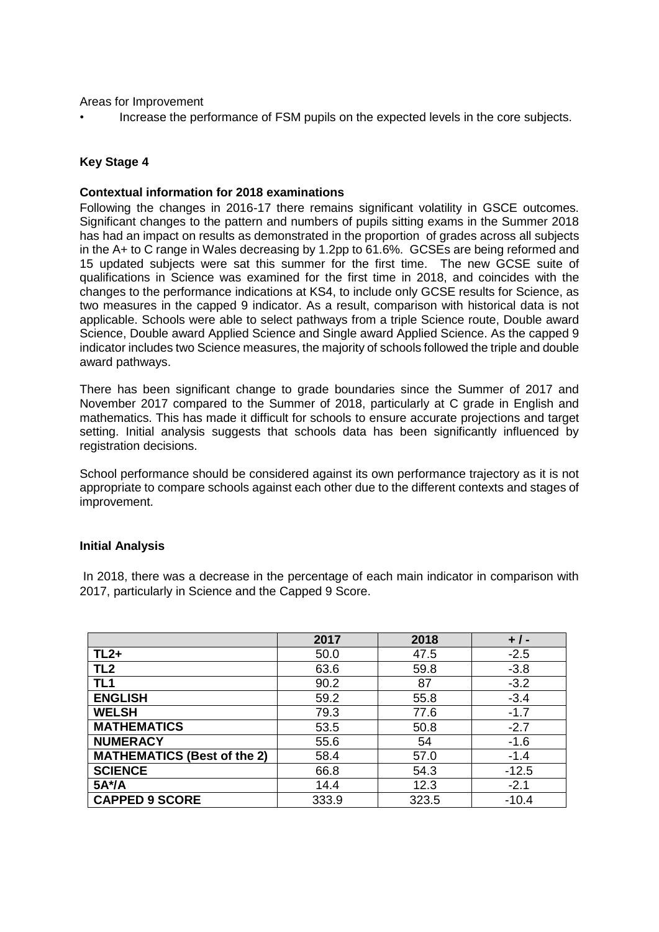Areas for Improvement

• Increase the performance of FSM pupils on the expected levels in the core subjects.

### **Key Stage 4**

#### **Contextual information for 2018 examinations**

Following the changes in 2016-17 there remains significant volatility in GSCE outcomes. Significant changes to the pattern and numbers of pupils sitting exams in the Summer 2018 has had an impact on results as demonstrated in the proportion of grades across all subjects in the A+ to C range in Wales decreasing by 1.2pp to 61.6%. GCSEs are being reformed and 15 updated subjects were sat this summer for the first time. The new GCSE suite of qualifications in Science was examined for the first time in 2018, and coincides with the changes to the performance indications at KS4, to include only GCSE results for Science, as two measures in the capped 9 indicator. As a result, comparison with historical data is not applicable. Schools were able to select pathways from a triple Science route, Double award Science, Double award Applied Science and Single award Applied Science. As the capped 9 indicator includes two Science measures, the majority of schools followed the triple and double award pathways.

There has been significant change to grade boundaries since the Summer of 2017 and November 2017 compared to the Summer of 2018, particularly at C grade in English and mathematics. This has made it difficult for schools to ensure accurate projections and target setting. Initial analysis suggests that schools data has been significantly influenced by registration decisions.

School performance should be considered against its own performance trajectory as it is not appropriate to compare schools against each other due to the different contexts and stages of improvement.

#### **Initial Analysis**

In 2018, there was a decrease in the percentage of each main indicator in comparison with 2017, particularly in Science and the Capped 9 Score.

|                                    | 2017  | 2018  | $+ 1 -$ |
|------------------------------------|-------|-------|---------|
| $TL2+$                             | 50.0  | 47.5  | $-2.5$  |
| TL <sub>2</sub>                    | 63.6  | 59.8  | $-3.8$  |
| TL <sub>1</sub>                    | 90.2  | 87    | $-3.2$  |
| <b>ENGLISH</b>                     | 59.2  | 55.8  | $-3.4$  |
| <b>WELSH</b>                       | 79.3  | 77.6  | $-1.7$  |
| <b>MATHEMATICS</b>                 | 53.5  | 50.8  | $-2.7$  |
| <b>NUMERACY</b>                    | 55.6  | 54    | $-1.6$  |
| <b>MATHEMATICS (Best of the 2)</b> | 58.4  | 57.0  | $-1.4$  |
| <b>SCIENCE</b>                     | 66.8  | 54.3  | $-12.5$ |
| 5A*/A                              | 14.4  | 12.3  | $-2.1$  |
| <b>CAPPED 9 SCORE</b>              | 333.9 | 323.5 | $-10.4$ |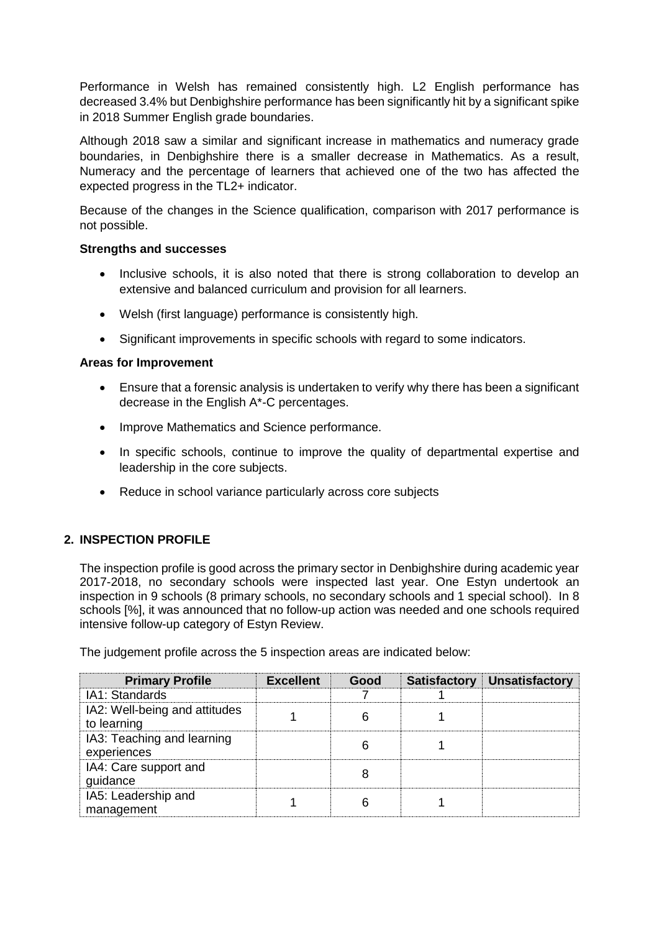Performance in Welsh has remained consistently high. L2 English performance has decreased 3.4% but Denbighshire performance has been significantly hit by a significant spike in 2018 Summer English grade boundaries.

Although 2018 saw a similar and significant increase in mathematics and numeracy grade boundaries, in Denbighshire there is a smaller decrease in Mathematics. As a result, Numeracy and the percentage of learners that achieved one of the two has affected the expected progress in the TL2+ indicator.

Because of the changes in the Science qualification, comparison with 2017 performance is not possible.

#### **Strengths and successes**

- Inclusive schools, it is also noted that there is strong collaboration to develop an extensive and balanced curriculum and provision for all learners.
- Welsh (first language) performance is consistently high.
- Significant improvements in specific schools with regard to some indicators.

#### **Areas for Improvement**

- Ensure that a forensic analysis is undertaken to verify why there has been a significant decrease in the English A\*-C percentages.
- Improve Mathematics and Science performance.
- In specific schools, continue to improve the quality of departmental expertise and leadership in the core subjects.
- Reduce in school variance particularly across core subjects

## **2. INSPECTION PROFILE**

The inspection profile is good across the primary sector in Denbighshire during academic year 2017-2018, no secondary schools were inspected last year. One Estyn undertook an inspection in 9 schools (8 primary schools, no secondary schools and 1 special school). In 8 schools [%], it was announced that no follow-up action was needed and one schools required intensive follow-up category of Estyn Review.

The judgement profile across the 5 inspection areas are indicated below:

| <b>Primary Profile</b>                       | <b>Excellent</b> | Good | Satisfactory Unsatisfactory |
|----------------------------------------------|------------------|------|-----------------------------|
| IA1: Standards                               |                  |      |                             |
| IA2: Well-being and attitudes<br>to learning |                  |      |                             |
| IA3: Teaching and learning<br>experiences    |                  |      |                             |
| IA4: Care support and<br>guidance            |                  |      |                             |
| IA5: Leadership and<br>management            |                  |      |                             |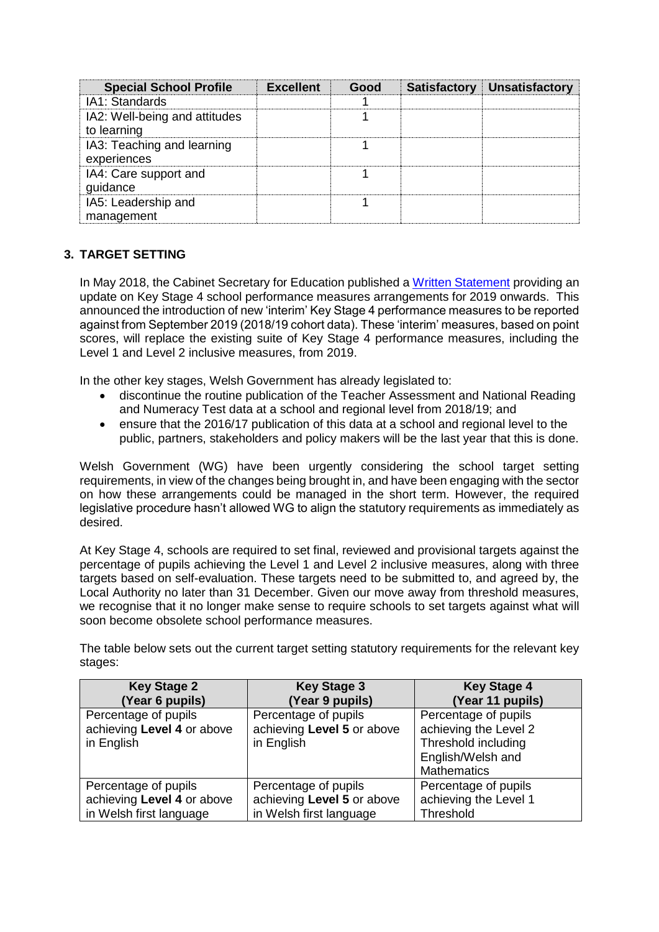| <b>Special School Profile</b>                | <b>Excellent</b> | Good | <b>Satisfactory Unsatisfactory</b> |
|----------------------------------------------|------------------|------|------------------------------------|
| IA1: Standards                               |                  |      |                                    |
| IA2: Well-being and attitudes<br>to learning |                  |      |                                    |
| IA3: Teaching and learning<br>experiences    |                  |      |                                    |
| IA4: Care support and<br>guidance            |                  |      |                                    |
| IA5: Leadership and<br>management            |                  |      |                                    |

# **3. TARGET SETTING**

In May 2018, the Cabinet Secretary for Education published a [Written Statement](https://gov.wales/about/cabinet/cabinetstatements/2018/ks4performmeasures/?lang=en) providing an update on Key Stage 4 school performance measures arrangements for 2019 onwards. This announced the introduction of new 'interim' Key Stage 4 performance measures to be reported against from September 2019 (2018/19 cohort data). These 'interim' measures, based on point scores, will replace the existing suite of Key Stage 4 performance measures, including the Level 1 and Level 2 inclusive measures, from 2019.

In the other key stages, Welsh Government has already legislated to:

- discontinue the routine publication of the Teacher Assessment and National Reading and Numeracy Test data at a school and regional level from 2018/19; and
- ensure that the 2016/17 publication of this data at a school and regional level to the public, partners, stakeholders and policy makers will be the last year that this is done.

Welsh Government (WG) have been urgently considering the school target setting requirements, in view of the changes being brought in, and have been engaging with the sector on how these arrangements could be managed in the short term. However, the required legislative procedure hasn't allowed WG to align the statutory requirements as immediately as desired.

At Key Stage 4, schools are required to set final, reviewed and provisional targets against the percentage of pupils achieving the Level 1 and Level 2 inclusive measures, along with three targets based on self-evaluation. These targets need to be submitted to, and agreed by, the Local Authority no later than 31 December. Given our move away from threshold measures, we recognise that it no longer make sense to require schools to set targets against what will soon become obsolete school performance measures.

The table below sets out the current target setting statutory requirements for the relevant key stages:

| <b>Key Stage 2</b>         | <b>Key Stage 3</b>         | <b>Key Stage 4</b>    |
|----------------------------|----------------------------|-----------------------|
| (Year 6 pupils)            | (Year 9 pupils)            | (Year 11 pupils)      |
| Percentage of pupils       | Percentage of pupils       | Percentage of pupils  |
| achieving Level 4 or above | achieving Level 5 or above | achieving the Level 2 |
| in English                 | in English                 | Threshold including   |
|                            |                            | English/Welsh and     |
|                            |                            | <b>Mathematics</b>    |
| Percentage of pupils       | Percentage of pupils       | Percentage of pupils  |
| achieving Level 4 or above | achieving Level 5 or above | achieving the Level 1 |
| in Welsh first language    | in Welsh first language    | Threshold             |